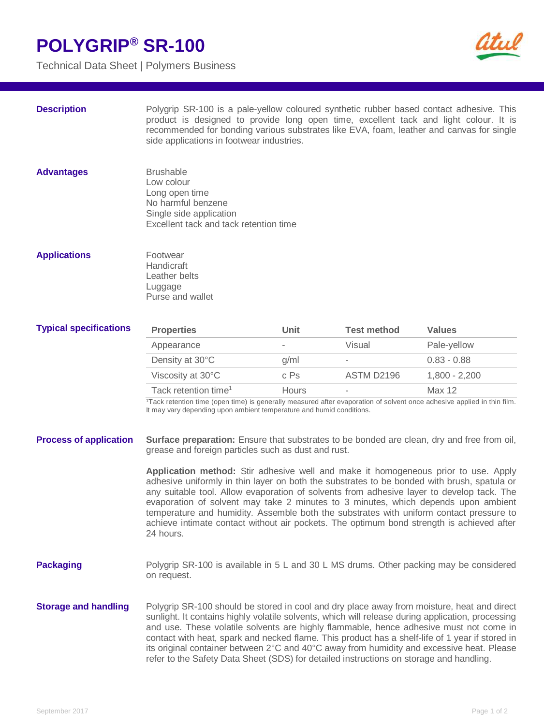## **POLYGRIP® SR-100**

Technical Data Sheet | Polymers Business



**Description** Polygrip SR-100 is a pale-yellow coloured synthetic rubber based contact adhesive. This product is designed to provide long open time, excellent tack and light colour. It is recommended for bonding various substrates like EVA, foam, leather and canvas for single side applications in footwear industries.

Advantages **Brushable** Low colour Long open time No harmful benzene Single side application Excellent tack and tack retention time

## **Applications Footwear Handicraft** Leather belts Luggage Purse and wallet

| <b>Typical specifications</b> | <b>Properties</b>                | Unit  | Test method              | <b>Values</b>   |
|-------------------------------|----------------------------------|-------|--------------------------|-----------------|
|                               | Appearance                       | ٠     | Visual                   | Pale-yellow     |
|                               | Density at 30°C                  | a/ml  | $\overline{\phantom{a}}$ | $0.83 - 0.88$   |
|                               | Viscosity at 30°C                | c Ps  | ASTM D2196               | $1.800 - 2.200$ |
|                               | Tack retention time <sup>1</sup> | Hours | $\overline{\phantom{a}}$ | Max 12          |

<sup>1</sup>Tack retention time (open time) is generally measured after evaporation of solvent once adhesive applied in thin film. It may vary depending upon ambient temperature and humid conditions.

| <b>Process of application</b> | <b>Surface preparation:</b> Ensure that substrates to be bonded are clean, dry and free from oil, |
|-------------------------------|---------------------------------------------------------------------------------------------------|
|                               | grease and foreign particles such as dust and rust.                                               |

**Application method:** Stir adhesive well and make it homogeneous prior to use. Apply adhesive uniformly in thin layer on both the substrates to be bonded with brush, spatula or any suitable tool. Allow evaporation of solvents from adhesive layer to develop tack. The evaporation of solvent may take 2 minutes to 3 minutes, which depends upon ambient temperature and humidity. Assemble both the substrates with uniform contact pressure to achieve intimate contact without air pockets. The optimum bond strength is achieved after 24 hours.

- **Packaging** Polygrip SR-100 is available in 5 L and 30 L MS drums. Other packing may be considered on request.
- **Storage and handling** Polygrip SR-100 should be stored in cool and dry place away from moisture, heat and direct sunlight. It contains highly volatile solvents, which will release during application, processing and use. These volatile solvents are highly flammable, hence adhesive must not come in contact with heat, spark and necked flame. This product has a shelf-life of 1 year if stored in its original container between 2°C and 40°C away from humidity and excessive heat. Please refer to the Safety Data Sheet (SDS) for detailed instructions on storage and handling.